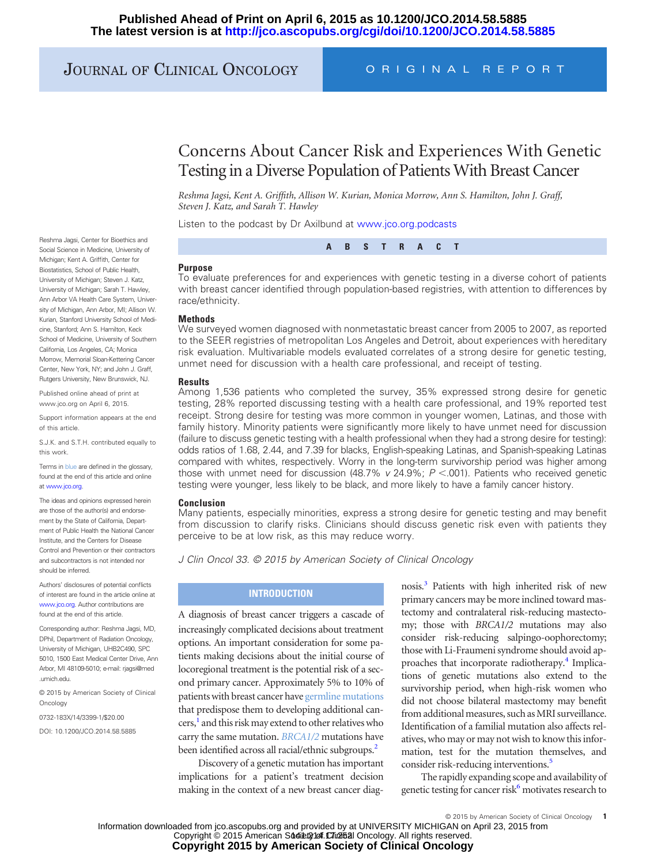# JOURNAL OF CLINICAL ONCOLOGY ORIGINAL REPORT

# Concerns About Cancer Risk and Experiences With Genetic Testing in a Diverse Population of Patients With Breast Cancer

*Reshma Jagsi, Kent A. Griffith, Allison W. Kurian, Monica Morrow, Ann S. Hamilton, John J. Graff, Steven J. Katz, and Sarah T. Hawley*

Listen to the podcast by Dr Axilbund at [www.jco.org.podcasts](http://www.jco.org.podcasts)



### **Purpose**

To evaluate preferences for and experiences with genetic testing in a diverse cohort of patients with breast cancer identified through population-based registries, with attention to differences by race/ethnicity.

### **Methods**

We surveyed women diagnosed with nonmetastatic breast cancer from 2005 to 2007, as reported to the SEER registries of metropolitan Los Angeles and Detroit, about experiences with hereditary risk evaluation. Multivariable models evaluated correlates of a strong desire for genetic testing, unmet need for discussion with a health care professional, and receipt of testing.

#### **Results**

Among 1,536 patients who completed the survey, 35% expressed strong desire for genetic testing, 28% reported discussing testing with a health care professional, and 19% reported test receipt. Strong desire for testing was more common in younger women, Latinas, and those with family history. Minority patients were significantly more likely to have unmet need for discussion (failure to discuss genetic testing with a health professional when they had a strong desire for testing): odds ratios of 1.68, 2.44, and 7.39 for blacks, English-speaking Latinas, and Spanish-speaking Latinas compared with whites, respectively. Worry in the long-term survivorship period was higher among those with unmet need for discussion (48.7% *v* 24.9%;  $P < 0.01$ ). Patients who received genetic testing were younger, less likely to be black, and more likely to have a family cancer history.

#### **Conclusion**

Many patients, especially minorities, express a strong desire for genetic testing and may benefit from discussion to clarify risks. Clinicians should discuss genetic risk even with patients they perceive to be at low risk, as this may reduce worry.

*J Clin Oncol 33. © 2015 by American Society of Clinical Oncology*

### **INTRODUCTION**

A diagnosis of breast cancer triggers a cascade of increasingly complicated decisions about treatment options. An important consideration for some patients making decisions about the initial course of locoregional treatment is the potential risk of a second primary cancer. Approximately 5% to 10% of patients with breast cancer have germline mutations that predispose them to developing additional can $cers<sub>1</sub><sup>1</sup>$  and this risk may extend to other relatives who carry the same mutation. *BRCA1/2* mutations have been identified across all racial/ethnic subgroups.<sup>2</sup>

Discovery of a genetic mutation has important implications for a patient's treatment decision making in the context of a new breast cancer diag-

nosis[.3](#page-6-2) Patients with high inherited risk of new primary cancers may be more inclined toward mastectomy and contralateral risk-reducing mastectomy; those with *BRCA1/2* mutations may also consider risk-reducing salpingo-oophorectomy; those with Li-Fraumeni syndrome should avoid approaches that incorporate radiotherapy.<sup>4</sup> Implications of genetic mutations also extend to the survivorship period, when high-risk women who did not choose bilateral mastectomy may benefit from additional measures, such asMRI surveillance. Identification of a familial mutation also affects relatives, who may or may not wish to know this information, test for the mutation themselves, and consider risk-reducing interventions.<sup>5</sup>

The rapidly expanding scope and availability of genetic testing for cancer risk<sup>6</sup> motivates research to

Reshma Jagsi, Center for Bioethics and Social Science in Medicine, University of Michigan; Kent A. Griffith, Center for Biostatistics, School of Public Health, University of Michigan; Steven J. Katz, University of Michigan; Sarah T. Hawley, Ann Arbor VA Health Care System, University of Michigan, Ann Arbor, MI; Allison W. Kurian, Stanford University School of Medicine, Stanford; Ann S. Hamilton, Keck School of Medicine, University of Southern California, Los Angeles, CA; Monica Morrow, Memorial Sloan-Kettering Cancer Center, New York, NY; and John J. Graff, Rutgers University, New Brunswick, NJ.

Published online ahead of print at www.jco.org on April 6, 2015.

Support information appears at the end of this article.

S.J.K. and S.T.H. contributed equally to this work.

Terms in blue are defined in the glossary, found at the end of this article and online at [www.jco.org.](http://www.jco.org)

The ideas and opinions expressed herein are those of the author(s) and endorsement by the State of California, Department of Public Health the National Cancer Institute, and the Centers for Disease Control and Prevention or their contractors and subcontractors is not intended nor should be inferred.

Authors' disclosures of potential conflicts of interest are found in the article online at [www.jco.org.](http://www.jco.org) Author contributions are found at the end of this article.

Corresponding author: Reshma Jagsi, MD, DPhil, Department of Radiation Oncology, University of Michigan, UHB2C490, SPC 5010, 1500 East Medical Center Drive, Ann Arbor, MI 48109-5010; e-mail: riagsi@med [.umich.edu.](mailto:rjagsi@med.umich.edu)

© 2015 by American Society of Clinical Oncology

0732-183X/14/3399-1/\$20.00

DOI: [10.1200/JCO.2014.58.5885](http://dx.doi.org/10.1200/JCO.2014.58.5885)

© 2015 by American Society of Clinical Oncology **1**

Copyright © 2015 American Society of Cluzioal Oncology. All rights reserved. Information downloaded from jco.ascopubs.org and provided by at UNIVERSITY MICHIGAN on April 23, 2015 from

**Copyright 2015 by American Society of Clinical Oncology**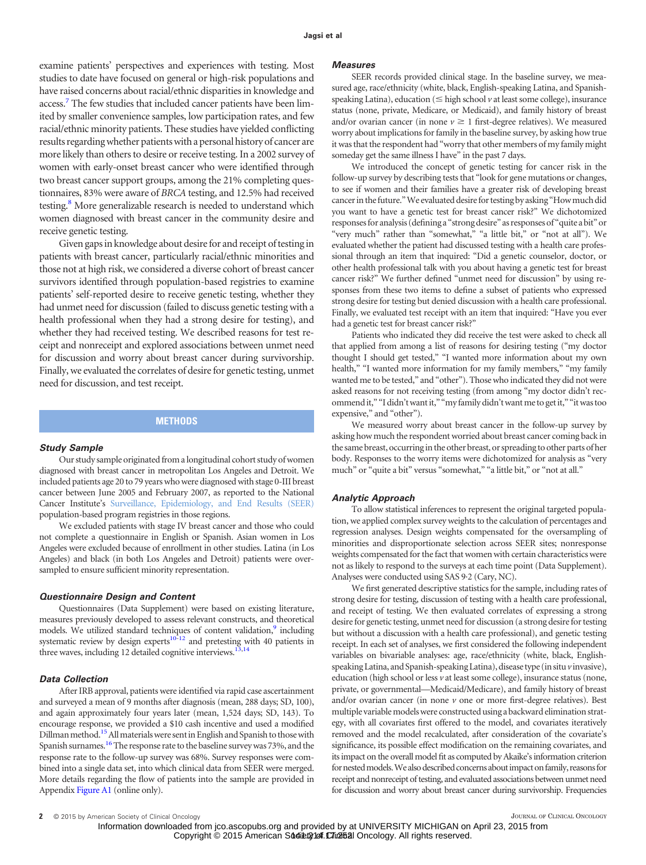examine patients' perspectives and experiences with testing. Most studies to date have focused on general or high-risk populations and have raised concerns about racial/ethnic disparities in knowledge and access.<sup>7</sup> The few studies that included cancer patients have been limited by smaller convenience samples, low participation rates, and few racial/ethnic minority patients. These studies have yielded conflicting results regardingwhether patientswith a personal history of cancer are more likely than others to desire or receive testing. In a 2002 survey of women with early-onset breast cancer who were identified through two breast cancer support groups, among the 21% completing questionnaires, 83% were aware of *BRCA* testing, and 12.5% had received testing.<sup>8</sup> More generalizable research is needed to understand which women diagnosed with breast cancer in the community desire and receive genetic testing.

Given gaps in knowledge about desire for and receipt of testing in patients with breast cancer, particularly racial/ethnic minorities and those not at high risk, we considered a diverse cohort of breast cancer survivors identified through population-based registries to examine patients' self-reported desire to receive genetic testing, whether they had unmet need for discussion (failed to discuss genetic testing with a health professional when they had a strong desire for testing), and whether they had received testing. We described reasons for test receipt and nonreceipt and explored associations between unmet need for discussion and worry about breast cancer during survivorship. Finally, we evaluated the correlates of desire for genetic testing, unmet need for discussion, and test receipt.

### **METHODS**

#### *Study Sample*

Our study sample originated from a longitudinal cohort study of women diagnosed with breast cancer in metropolitan Los Angeles and Detroit. We included patients age 20 to 79 years who were diagnosed with stage 0-III breast cancer between June 2005 and February 2007, as reported to the National Cancer Institute's Surveillance, Epidemiology, and End Results (SEER) population-based program registries in those regions.

We excluded patients with stage IV breast cancer and those who could not complete a questionnaire in English or Spanish. Asian women in Los Angeles were excluded because of enrollment in other studies. Latina (in Los Angeles) and black (in both Los Angeles and Detroit) patients were oversampled to ensure sufficient minority representation.

#### *Questionnaire Design and Content*

Questionnaires (Data Supplement) were based on existing literature, measures previously developed to assess relevant constructs, and theoretical models. We utilized standard techniques of content validation,<sup>9</sup> including systematic review by design experts<sup>10-[12](#page-6-10)</sup> and pretesting with 40 patients in three waves, including 12 detailed cognitive interviews.<sup>1</sup>

#### *Data Collection*

After IRB approval, patients were identified via rapid case ascertainment and surveyed a mean of 9 months after diagnosis (mean, 288 days; SD, 100), and again approximately four years later (mean, 1,524 days; SD, 143). To encourage response, we provided a \$10 cash incentive and used a modified Dillman method.<sup>15</sup> All materials were sent in English and Spanish to those with Spanish surnames.<sup>16</sup> The response rate to the baseline survey was 73%, and the response rate to the follow-up survey was 68%. Survey responses were combined into a single data set, into which clinical data from SEER were merged. More details regarding the flow of patients into the sample are provided in Appendix [Figure A1](#page-9-0) (online only).

#### *Measures*

SEER records provided clinical stage. In the baseline survey, we measured age, race/ethnicity (white, black, English-speaking Latina, and Spanishspeaking Latina), education ( $\leq$  high school  $\nu$  at least some college), insurance status (none, private, Medicare, or Medicaid), and family history of breast and/or ovarian cancer (in none  $\nu \geq 1$  first-degree relatives). We measured worry about implications for family in the baseline survey, by asking how true it was that the respondent had "worry that other members of my family might someday get the same illness I have" in the past 7 days.

We introduced the concept of genetic testing for cancer risk in the follow-up survey by describing tests that "look for gene mutations or changes, to see if women and their families have a greater risk of developing breast cancer in the future." We evaluated desire for testing by asking "How much did you want to have a genetic test for breast cancer risk?" We dichotomized responsesfor analysis (defining a "strong desire" as responses of "quite a bit" or "very much" rather than "somewhat," "a little bit," or "not at all"). We evaluated whether the patient had discussed testing with a health care professional through an item that inquired: "Did a genetic counselor, doctor, or other health professional talk with you about having a genetic test for breast cancer risk?" We further defined "unmet need for discussion" by using responses from these two items to define a subset of patients who expressed strong desire for testing but denied discussion with a health care professional. Finally, we evaluated test receipt with an item that inquired: "Have you ever had a genetic test for breast cancer risk?"

Patients who indicated they did receive the test were asked to check all that applied from among a list of reasons for desiring testing ("my doctor thought I should get tested," "I wanted more information about my own health," "I wanted more information for my family members," "my family wanted me to be tested," and "other"). Those who indicated they did not were asked reasons for not receiving testing (from among "my doctor didn't recommendit," "I didn'twantit," "myfamily didn'twantme to getit," "itwas too expensive," and "other").

We measured worry about breast cancer in the follow-up survey by asking how much the respondent worried about breast cancer coming back in the same breast, occurringin the other breast, or spreading to other parts of her body. Responses to the worry items were dichotomized for analysis as "very much" or "quite a bit" versus "somewhat," "a little bit," or "not at all."

### *Analytic Approach*

To allow statistical inferences to represent the original targeted population, we applied complex survey weights to the calculation of percentages and regression analyses. Design weights compensated for the oversampling of minorities and disproportionate selection across SEER sites; nonresponse weights compensated for the fact that women with certain characteristics were not as likely to respond to the surveys at each time point (Data Supplement). Analyses were conducted using SAS 9·2 (Cary, NC).

We first generated descriptive statistics for the sample, including rates of strong desire for testing, discussion of testing with a health care professional, and receipt of testing. We then evaluated correlates of expressing a strong desire for genetic testing, unmet need for discussion (a strong desire for testing but without a discussion with a health care professional), and genetic testing receipt. In each set of analyses, we first considered the following independent variables on bivariable analyses: age, race/ethnicity (white, black, Englishspeaking Latina, and Spanish-speaking Latina), disease type (in situ*v* invasive), education (high school or less *v* at least some college), insurance status (none, private, or governmental—Medicaid/Medicare), and family history of breast and/or ovarian cancer (in none *v* one or more first-degree relatives). Best multiple variable models were constructed using a backward elimination strategy, with all covariates first offered to the model, and covariates iteratively removed and the model recalculated, after consideration of the covariate's significance, its possible effect modification on the remaining covariates, and its impact on the overall model fit as computed by Akaike's information criterion for nested models. We also described concerns about impact on family, reasons for receipt and nonreceipt of testing, and evaluated associations between unmet need for discussion and worry about breast cancer during survivorship. Frequencies

Copyright © 2015 American Society of Cluzioal Oncology. All rights reserved. Information downloaded from jco.ascopubs.org and provided by at UNIVERSITY MICHIGAN on April 23, 2015 from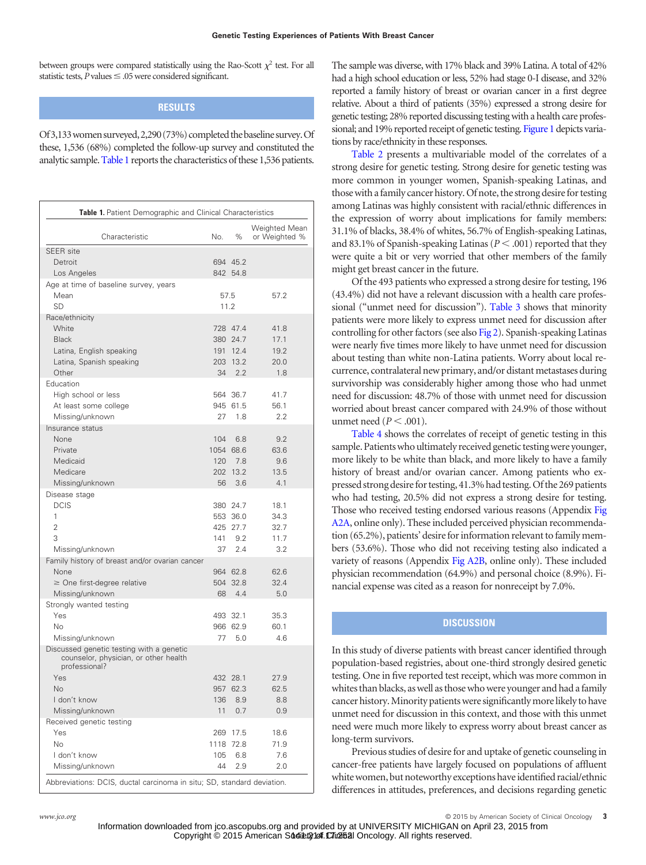between groups were compared statistically using the Rao-Scott  $\chi^2$  test. For all statistic tests,  $P$  values  $\leq .05$  were considered significant.

## <span id="page-2-0"></span>**RESULTS**

Of 3,133 women surveyed, 2,290 (73%) completed the baseline survey. Of these, 1,536 (68%) completed the follow-up survey and constituted the analytic sample.[Table 1](#page-2-0) reports the characteristics of these 1,536 patients.

| Table 1. Patient Demographic and Clinical Characteristics                                          |           |          |                                |  |  |
|----------------------------------------------------------------------------------------------------|-----------|----------|--------------------------------|--|--|
| Characteristic                                                                                     | No.       | %        | Weighted Mean<br>or Weighted % |  |  |
| <b>SEER</b> site                                                                                   |           |          |                                |  |  |
| Detroit                                                                                            |           | 694 45.2 |                                |  |  |
| Los Angeles                                                                                        |           | 842 54.8 |                                |  |  |
| Age at time of baseline survey, years                                                              |           |          |                                |  |  |
| Mean                                                                                               | 57.5      |          | 57.2                           |  |  |
| <b>SD</b>                                                                                          | 11.2      |          |                                |  |  |
| Race/ethnicity                                                                                     |           |          |                                |  |  |
| White                                                                                              |           | 728 47.4 | 41.8                           |  |  |
| <b>Black</b>                                                                                       |           | 380 24.7 | 17.1                           |  |  |
| Latina, English speaking                                                                           |           | 191 12.4 | 19.2                           |  |  |
| Latina, Spanish speaking                                                                           |           | 203 13.2 | 20.0                           |  |  |
| Other                                                                                              | 34        | 2.2      | 1.8                            |  |  |
| Education                                                                                          |           |          |                                |  |  |
| High school or less                                                                                |           | 564 36.7 | 41.7                           |  |  |
| At least some college                                                                              |           | 945 61.5 | 56.1                           |  |  |
| Missing/unknown                                                                                    | 27        | 1.8      | 2.2                            |  |  |
| Insurance status                                                                                   |           |          |                                |  |  |
| None                                                                                               | 104       | 6.8      | 9.2                            |  |  |
| Private                                                                                            | 1054 68.6 |          | 63.6                           |  |  |
|                                                                                                    |           |          |                                |  |  |
| Medicaid                                                                                           | 120       | 7.8      | 9.6                            |  |  |
| Medicare                                                                                           |           | 202 13.2 | 13.5                           |  |  |
| Missing/unknown                                                                                    | 56        | 3.6      | 4.1                            |  |  |
| Disease stage                                                                                      |           |          |                                |  |  |
| <b>DCIS</b>                                                                                        |           | 380 24.7 | 18.1                           |  |  |
| 1                                                                                                  |           | 553 36.0 | 34.3                           |  |  |
| $\overline{2}$                                                                                     |           | 425 27.7 | 32.7                           |  |  |
| 3                                                                                                  | 141       | 9.2      | 11.7                           |  |  |
| Missing/unknown                                                                                    | 37        | 2.4      | 3.2                            |  |  |
| Family history of breast and/or ovarian cancer                                                     |           |          |                                |  |  |
| None                                                                                               |           | 964 62.8 | 62.6                           |  |  |
| $\geq$ One first-degree relative                                                                   |           | 504 32.8 | 32.4                           |  |  |
| Missing/unknown                                                                                    | 68        | 4.4      | 5.0                            |  |  |
| Strongly wanted testing                                                                            |           |          |                                |  |  |
| Yes                                                                                                |           | 493 32.1 | 35.3                           |  |  |
| No                                                                                                 |           | 966 62.9 | 60.1                           |  |  |
| Missing/unknown                                                                                    | 77        | 5.0      | 4.6                            |  |  |
| Discussed genetic testing with a genetic<br>counselor, physician, or other health<br>professional? |           |          |                                |  |  |
| Yes                                                                                                |           | 432 28.1 |                                |  |  |
|                                                                                                    |           |          | 27.9                           |  |  |
| <b>No</b>                                                                                          |           | 957 62.3 | 62.5                           |  |  |
| I don't know                                                                                       |           | 136 8.9  | 8.8                            |  |  |
| Missing/unknown                                                                                    | 11        | 0.7      | 0.9                            |  |  |
| Received genetic testing                                                                           |           |          |                                |  |  |
| Yes                                                                                                | 269       | 17.5     | 18.6                           |  |  |
| No                                                                                                 | 1118      | 72.8     | 71.9                           |  |  |
| I don't know                                                                                       | 105       | 6.8      | 7.6                            |  |  |
| Missing/unknown                                                                                    | 44        | 2.9      | 2.0                            |  |  |

The sample was diverse, with 17% black and 39% Latina. A total of 42% had a high school education or less, 52% had stage 0-I disease, and 32% reported a family history of breast or ovarian cancer in a first degree relative. About a third of patients (35%) expressed a strong desire for genetic testing; 28% reported discussing testing with a health care professional; and 19% reported receipt of genetic testing. [Figure 1](#page-3-0) depicts variations by race/ethnicity in these responses.

[Table 2](#page-3-1) presents a multivariable model of the correlates of a strong desire for genetic testing. Strong desire for genetic testing was more common in younger women, Spanish-speaking Latinas, and those with a family cancer history. Of note, the strong desire for testing among Latinas was highly consistent with racial/ethnic differences in the expression of worry about implications for family members: 31.1% of blacks, 38.4% of whites, 56.7% of English-speaking Latinas, and 83.1% of Spanish-speaking Latinas  $(P < .001)$  reported that they were quite a bit or very worried that other members of the family might get breast cancer in the future.

Of the 493 patients who expressed a strong desire for testing, 196 (43.4%) did not have a relevant discussion with a health care professional ("unmet need for discussion"). [Table 3](#page-4-0) shows that minority patients were more likely to express unmet need for discussion after controlling for other factors (see also [Fig 2\)](#page-4-1). Spanish-speaking Latinas were nearly five times more likely to have unmet need for discussion about testing than white non-Latina patients. Worry about local recurrence, contralateral new primary, and/or distant metastases during survivorship was considerably higher among those who had unmet need for discussion: 48.7% of those with unmet need for discussion worried about breast cancer compared with 24.9% of those without unmet need  $(P < .001)$ .

[Table 4](#page-4-0) shows the correlates of receipt of genetic testing in this sample. Patients who ultimately received genetic testing were younger, more likely to be white than black, and more likely to have a family history of breast and/or ovarian cancer. Among patients who expressed strong desire for testing, 41.3% had testing. Of the 269 patients who had testing, 20.5% did not express a strong desire for testing. Those who received testing endorsed various reasons (Appendix [Fig](#page-10-0) [A2A,](#page-10-0) online only). These included perceived physician recommendation (65.2%), patients' desire for information relevant to family members (53.6%). Those who did not receiving testing also indicated a variety of reasons (Appendix [Fig A2B,](#page-10-0) online only). These included physician recommendation (64.9%) and personal choice (8.9%). Financial expense was cited as a reason for nonreceipt by 7.0%.

### **DISCUSSION**

In this study of diverse patients with breast cancer identified through population-based registries, about one-third strongly desired genetic testing. One in five reported test receipt, which was more common in whites than blacks, as well as those who were younger and had a family cancer history.Minority patientswere significantlymore likely to have unmet need for discussion in this context, and those with this unmet need were much more likely to express worry about breast cancer as long-term survivors.

Previous studies of desire for and uptake of genetic counseling in cancer-free patients have largely focused on populations of affluent white women, but noteworthy exceptions have identified racial/ethnic differences in attitudes, preferences, and decisions regarding genetic

**EXECUTE:**  $\omega$  and  $\omega$  and  $\omega$  and  $\omega$  and  $\omega$  and  $\omega$  and  $\omega$  and  $\omega$  and  $\omega$  and  $\omega$  and  $\omega$  and  $\omega$  and  $\omega$  and  $\omega$  and  $\omega$  and  $\omega$  and  $\omega$  and  $\omega$  and  $\omega$  and  $\omega$  and  $\omega$  and  $\omega$  and  $\omega$  and  $\omega$ Information downloaded from jco.ascopubs.org and provided by at UNIVERSITY MICHIGAN on April 23, 2015 from

Copyright © 2015 American Society of Cluzioal Oncology. All rights reserved.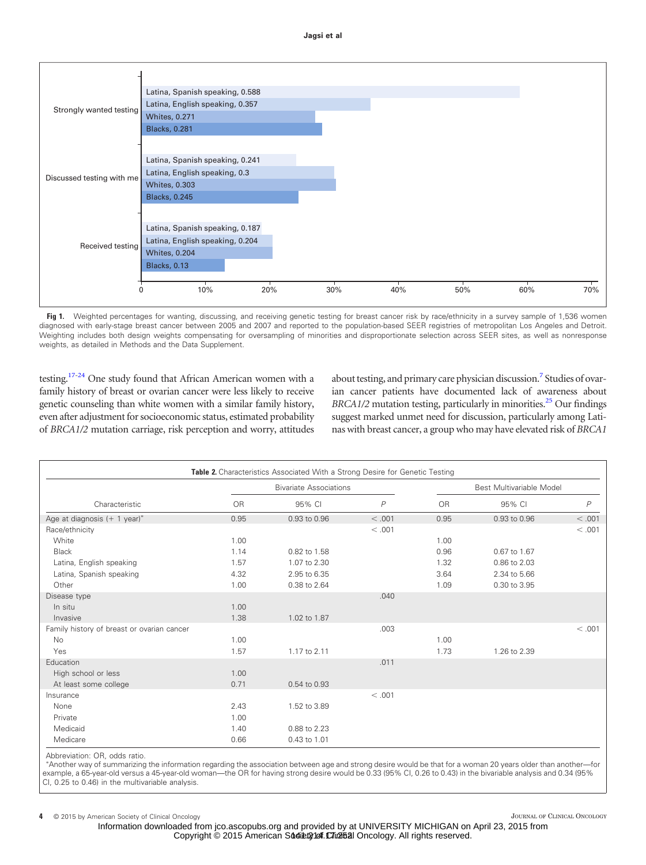

<span id="page-3-0"></span>Fig 1. Weighted percentages for wanting, discussing, and receiving genetic testing for breast cancer risk by race/ethnicity in a survey sample of 1,536 women diagnosed with early-stage breast cancer between 2005 and 2007 and reported to the population-based SEER registries of metropolitan Los Angeles and Detroit. Weighting includes both design weights compensating for oversampling of minorities and disproportionate selection across SEER sites, as well as nonresponse weights, as detailed in Methods and the Data Supplement.

testing.<sup>17[-24](#page-6-16)</sup> One study found that African American women with a family history of breast or ovarian cancer were less likely to receive genetic counseling than white women with a similar family history, even after adjustment for socioeconomic status, estimated probability of *BRCA1/2* mutation carriage, risk perception and worry, attitudes <span id="page-3-1"></span>about testing, and primary care physician discussion.<sup>7</sup> Studies of ovarian cancer patients have documented lack of awareness about *BRCA1/2* mutation testing, particularly in minorities.<sup>25</sup> Our findings suggest marked unmet need for discussion, particularly among Latinas with breast cancer, a group who may have elevated risk of *BRCA1*

| Characteristic                             | <b>Bivariate Associations</b> |              |                | Best Multivariable Model |              |               |  |
|--------------------------------------------|-------------------------------|--------------|----------------|--------------------------|--------------|---------------|--|
|                                            | <b>OR</b>                     | 95% CI       | $\overline{P}$ | 0 <sub>R</sub>           | 95% CI       | $\mathcal{P}$ |  |
| Age at diagnosis $(+ 1$ year)*             | 0.95                          | 0.93 to 0.96 | < 0.001        | 0.95                     | 0.93 to 0.96 | < .001        |  |
| Race/ethnicity                             |                               |              | < 0.001        |                          |              | < 0.001       |  |
| White                                      | 1.00                          |              |                | 1.00                     |              |               |  |
| <b>Black</b>                               | 1.14                          | 0.82 to 1.58 |                | 0.96                     | 0.67 to 1.67 |               |  |
| Latina, English speaking                   | 1.57                          | 1.07 to 2.30 |                | 1.32                     | 0.86 to 2.03 |               |  |
| Latina, Spanish speaking                   | 4.32                          | 2.95 to 6.35 |                | 3.64                     | 2.34 to 5.66 |               |  |
| Other                                      | 1.00                          | 0.38 to 2.64 |                | 1.09                     | 0.30 to 3.95 |               |  |
| Disease type                               |                               |              | .040           |                          |              |               |  |
| In situ                                    | 1.00                          |              |                |                          |              |               |  |
| Invasive                                   | 1.38                          | 1.02 to 1.87 |                |                          |              |               |  |
| Family history of breast or ovarian cancer |                               |              | .003           |                          |              | < 0.001       |  |
| <b>No</b>                                  | 1.00                          |              |                | 1.00                     |              |               |  |
| Yes                                        | 1.57                          | 1.17 to 2.11 |                | 1.73                     | 1.26 to 2.39 |               |  |
| Education                                  |                               |              | .011           |                          |              |               |  |
| High school or less                        | 1.00                          |              |                |                          |              |               |  |
| At least some college                      | 0.71                          | 0.54 to 0.93 |                |                          |              |               |  |
| Insurance                                  |                               |              | < 0.001        |                          |              |               |  |
| None                                       | 2.43                          | 1.52 to 3.89 |                |                          |              |               |  |
| Private                                    | 1.00                          |              |                |                          |              |               |  |
| Medicaid                                   | 1.40                          | 0.88 to 2.23 |                |                          |              |               |  |
| Medicare                                   | 0.66                          | 0.43 to 1.01 |                |                          |              |               |  |

Abbreviation: OR, odds ratio.

- Another way of summarizing the information regarding the association between age and strong desire would be that for a woman 20 years older than another—for example, a 65-year-old versus a 45-year-old woman—the OR for having strong desire would be 0.33 (95% CI, 0.26 to 0.43) in the bivariable analysis and 0.34 (95% CI, 0.25 to 0.46) in the multivariable analysis.

**4** © 2015 by American Society of Clinical Oncology JOURNAL OF CLINICAL ONCOLOGY

Copyright © 2015 American Society of Cluzioal Oncology. All rights reserved. Information downloaded from jco.ascopubs.org and provided by at UNIVERSITY MICHIGAN on April 23, 2015 from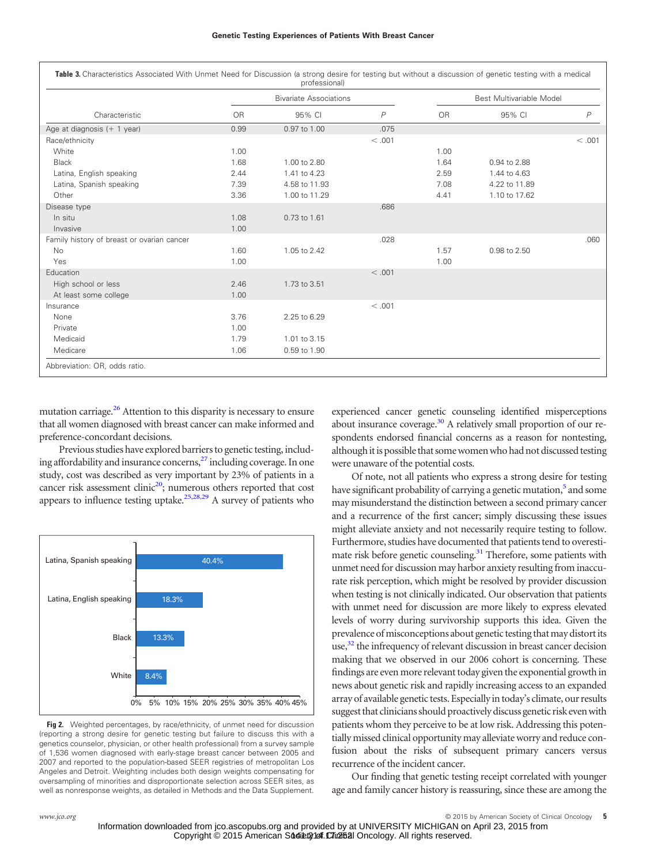| Characteristic                             | <b>Bivariate Associations</b> |               |         | Best Multivariable Model |               |         |  |
|--------------------------------------------|-------------------------------|---------------|---------|--------------------------|---------------|---------|--|
|                                            | <b>OR</b>                     | 95% CI        | P       | <b>OR</b>                | 95% CI        | P       |  |
| Age at diagnosis $(+ 1$ year)              | 0.99                          | 0.97 to 1.00  | .075    |                          |               |         |  |
| Race/ethnicity                             |                               |               | < 0.001 |                          |               | < 0.001 |  |
| White                                      | 1.00                          |               |         | 1.00                     |               |         |  |
| <b>Black</b>                               | 1.68                          | 1.00 to 2.80  |         | 1.64                     | 0.94 to 2.88  |         |  |
| Latina, English speaking                   | 2.44                          | 1.41 to 4.23  |         | 2.59                     | 1.44 to 4.63  |         |  |
| Latina, Spanish speaking                   | 7.39                          | 4.58 to 11.93 |         | 7.08                     | 4.22 to 11.89 |         |  |
| Other                                      | 3.36                          | 1.00 to 11.29 |         | 4.41                     | 1.10 to 17.62 |         |  |
| Disease type                               |                               |               | .686    |                          |               |         |  |
| In situ                                    | 1.08                          | 0.73 to 1.61  |         |                          |               |         |  |
| Invasive                                   | 1.00                          |               |         |                          |               |         |  |
| Family history of breast or ovarian cancer |                               |               | .028    |                          |               | .060    |  |
| <b>No</b>                                  | 1.60                          | 1.05 to 2.42  |         | 1.57                     | 0.98 to 2.50  |         |  |
| Yes                                        | 1.00                          |               |         | 1.00                     |               |         |  |
| Education                                  |                               |               | < 0.001 |                          |               |         |  |
| High school or less                        | 2.46                          | 1.73 to 3.51  |         |                          |               |         |  |
| At least some college                      | 1.00                          |               |         |                          |               |         |  |
| Insurance                                  |                               |               | < 0.001 |                          |               |         |  |
| None                                       | 3.76                          | 2.25 to 6.29  |         |                          |               |         |  |
| Private                                    | 1.00                          |               |         |                          |               |         |  |
| Medicaid                                   | 1.79                          | 1.01 to 3.15  |         |                          |               |         |  |
| Medicare                                   | 1.06                          | 0.59 to 1.90  |         |                          |               |         |  |

<span id="page-4-0"></span>**Table 3.** Characteristics Associated With Unmet Need for Discussion (a strong desire for testing but without a discussion of genetic testing with a medical

mutation carriage.<sup>26</sup> Attention to this disparity is necessary to ensure that all women diagnosed with breast cancer can make informed and preference-concordant decisions.

Previous studies have explored barriers to genetic testing, including affordability and insurance concerns,<sup>27</sup> including coverage. In one study, cost was described as very important by 23% of patients in a cancer risk assessment clinic<sup>20</sup>; numerous others reported that cost appears to influence testing uptake.<sup>25,[28,](#page-6-21)[29](#page-6-22)</sup> A survey of patients who



<span id="page-4-1"></span>**Fig 2.** Weighted percentages, by race/ethnicity, of unmet need for discussion (reporting a strong desire for genetic testing but failure to discuss this with a genetics counselor, physician, or other health professional) from a survey sample of 1,536 women diagnosed with early-stage breast cancer between 2005 and 2007 and reported to the population-based SEER registries of metropolitan Los Angeles and Detroit. Weighting includes both design weights compensating for oversampling of minorities and disproportionate selection across SEER sites, as well as nonresponse weights, as detailed in Methods and the Data Supplement.

experienced cancer genetic counseling identified misperceptions about insurance coverage. $30$  A relatively small proportion of our respondents endorsed financial concerns as a reason for nontesting, although it is possible that some women who had not discussed testing were unaware of the potential costs.

Of note, not all patients who express a strong desire for testing have significant probability of carrying a genetic mutation,<sup>5</sup> and some may misunderstand the distinction between a second primary cancer and a recurrence of the first cancer; simply discussing these issues might alleviate anxiety and not necessarily require testing to follow. Furthermore, studies have documented that patients tend to overestimate risk before genetic counseling.<sup>31</sup> Therefore, some patients with unmet need for discussion may harbor anxiety resulting from inaccurate risk perception, which might be resolved by provider discussion when testing is not clinically indicated. Our observation that patients with unmet need for discussion are more likely to express elevated levels of worry during survivorship supports this idea. Given the prevalence of misconceptions about genetic testing that may distort its use,<sup>32</sup> the infrequency of relevant discussion in breast cancer decision making that we observed in our 2006 cohort is concerning. These findings are even more relevant today given the exponential growth in news about genetic risk and rapidly increasing access to an expanded array of available genetic tests. Especially in today's climate, our results suggest that clinicians should proactively discuss genetic risk evenwith patients whom they perceive to be at low risk. Addressing this potentially missed clinical opportunity may alleviate worry and reduce confusion about the risks of subsequent primary cancers versus recurrence of the incident cancer.

Our finding that genetic testing receipt correlated with younger age and family cancer history is reassuring, since these are among the

Copyright © 2015 American Society of Cluabal Oncology. All rights reserved. Information downloaded from jco.ascopubs.org and provided by at UNIVERSITY MICHIGAN on April 23, 2015 from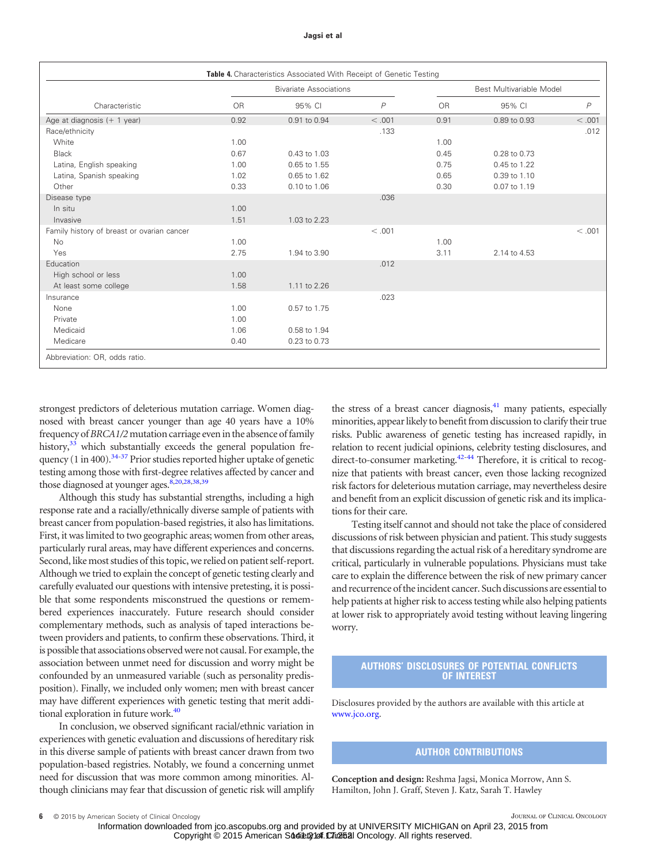| Characteristic                             | <b>Bivariate Associations</b> |              |         | Best Multivariable Model |              |                |  |
|--------------------------------------------|-------------------------------|--------------|---------|--------------------------|--------------|----------------|--|
|                                            | <b>OR</b>                     | 95% CI       | P       | <b>OR</b>                | 95% CI       | $\overline{P}$ |  |
| Age at diagnosis $(+ 1$ year)              | 0.92                          | 0.91 to 0.94 | < 0.001 | 0.91                     | 0.89 to 0.93 | < 0.001        |  |
| Race/ethnicity                             |                               |              | .133    |                          |              | .012           |  |
| White                                      | 1.00                          |              |         | 1.00                     |              |                |  |
| <b>Black</b>                               | 0.67                          | 0.43 to 1.03 |         | 0.45                     | 0.28 to 0.73 |                |  |
| Latina, English speaking                   | 1.00                          | 0.65 to 1.55 |         | 0.75                     | 0.45 to 1.22 |                |  |
| Latina, Spanish speaking                   | 1.02                          | 0.65 to 1.62 |         | 0.65                     | 0.39 to 1.10 |                |  |
| Other                                      | 0.33                          | 0.10 to 1.06 |         | 0.30                     | 0.07 to 1.19 |                |  |
| Disease type                               |                               |              | .036    |                          |              |                |  |
| In situ                                    | 1.00                          |              |         |                          |              |                |  |
| Invasive                                   | 1.51                          | 1.03 to 2.23 |         |                          |              |                |  |
| Family history of breast or ovarian cancer |                               |              | < 0.001 |                          |              | < .001         |  |
| No                                         | 1.00                          |              |         | 1.00                     |              |                |  |
| Yes                                        | 2.75                          | 1.94 to 3.90 |         | 3.11                     | 2.14 to 4.53 |                |  |
| Education                                  |                               |              | .012    |                          |              |                |  |
| High school or less                        | 1.00                          |              |         |                          |              |                |  |
| At least some college                      | 1.58                          | 1.11 to 2.26 |         |                          |              |                |  |
| Insurance                                  |                               |              | .023    |                          |              |                |  |
| None                                       | 1.00                          | 0.57 to 1.75 |         |                          |              |                |  |
| Private                                    | 1.00                          |              |         |                          |              |                |  |
| Medicaid                                   | 1.06                          | 0.58 to 1.94 |         |                          |              |                |  |
| Medicare                                   | 0.40                          | 0.23 to 0.73 |         |                          |              |                |  |

strongest predictors of deleterious mutation carriage. Women diagnosed with breast cancer younger than age 40 years have a 10% frequency of *BRCA1/2* mutation carriage even in the absence of family history, $33$  which substantially exceeds the general population fre-quency (1 in 400).<sup>34[-37](#page-6-28)</sup> Prior studies reported higher uptake of genetic testing among those with first-degree relatives affected by cancer and those diagnosed at younger ages.<sup>8[,20](#page-6-20)[,28](#page-6-21)[,38](#page-6-29)[,39](#page-6-30)</sup>

Although this study has substantial strengths, including a high response rate and a racially/ethnically diverse sample of patients with breast cancer from population-based registries, it also has limitations. First, it was limited to two geographic areas; women from other areas, particularly rural areas, may have different experiences and concerns. Second, like most studies of this topic, we relied on patient self-report. Although we tried to explain the concept of genetic testing clearly and carefully evaluated our questions with intensive pretesting, it is possible that some respondents misconstrued the questions or remembered experiences inaccurately. Future research should consider complementary methods, such as analysis of taped interactions between providers and patients, to confirm these observations. Third, it is possible that associations observed were not causal. For example, the association between unmet need for discussion and worry might be confounded by an unmeasured variable (such as personality predisposition). Finally, we included only women; men with breast cancer may have different experiences with genetic testing that merit additional exploration in future work.<sup>40</sup>

In conclusion, we observed significant racial/ethnic variation in experiences with genetic evaluation and discussions of hereditary risk in this diverse sample of patients with breast cancer drawn from two population-based registries. Notably, we found a concerning unmet need for discussion that was more common among minorities. Although clinicians may fear that discussion of genetic risk will amplify the stress of a breast cancer diagnosis, $41$  many patients, especially minorities, appear likely to benefit from discussion to clarify their true risks. Public awareness of genetic testing has increased rapidly, in relation to recent judicial opinions, celebrity testing disclosures, and direct-to-consumer marketing.<sup>42-[44](#page-6-34)</sup> Therefore, it is critical to recognize that patients with breast cancer, even those lacking recognized risk factors for deleterious mutation carriage, may nevertheless desire and benefit from an explicit discussion of genetic risk and its implications for their care.

Testing itself cannot and should not take the place of considered discussions of risk between physician and patient. This study suggests that discussions regarding the actual risk of a hereditary syndrome are critical, particularly in vulnerable populations. Physicians must take care to explain the difference between the risk of new primary cancer and recurrence of the incident cancer. Such discussions are essential to help patients at higher risk to access testing while also helping patients at lower risk to appropriately avoid testing without leaving lingering worry.

### **AUTHORS' DISCLOSURES OF POTENTIAL CONFLICTS OF INTEREST**

Disclosures provided by the authors are available with this article at [www.jco.org.](http://www.jco.org)

### **AUTHOR CONTRIBUTIONS**

**Conception and design:** Reshma Jagsi, Monica Morrow, Ann S. Hamilton, John J. Graff, Steven J. Katz, Sarah T. Hawley

Copyright © 2015 American Society of Cluzioal Oncology. All rights reserved. Information downloaded from jco.ascopubs.org and provided by at UNIVERSITY MICHIGAN on April 23, 2015 from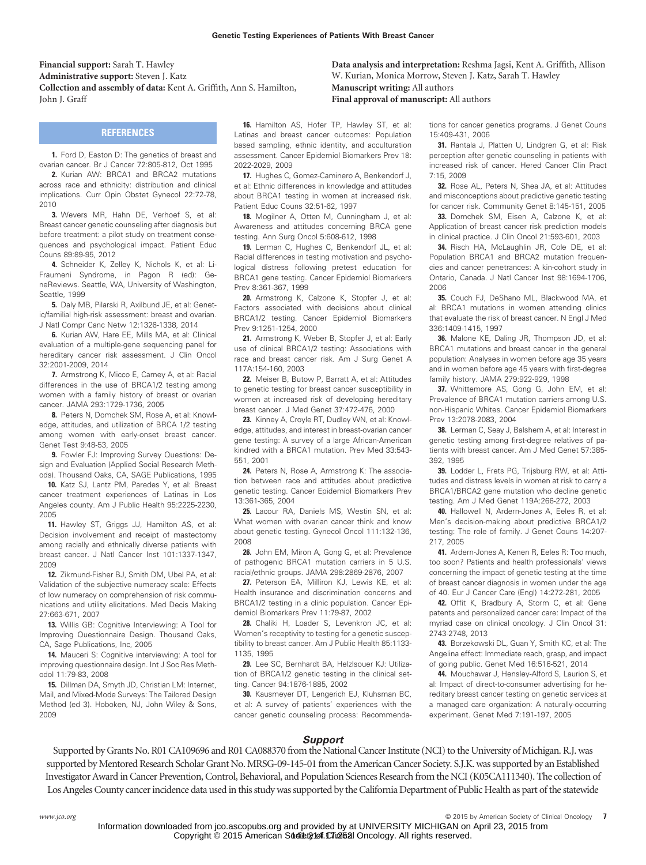**Financial support:** Sarah T. Hawley **Administrative support:** Steven J. Katz **Collection and assembly of data:** Kent A. Griffith, Ann S. Hamilton, John J. Graff

#### **REFERENCES**

<span id="page-6-0"></span>**1.** Ford D, Easton D: The genetics of breast and ovarian cancer. Br J Cancer 72:805-812, Oct 1995

<span id="page-6-1"></span>**2.** Kurian AW: BRCA1 and BRCA2 mutations across race and ethnicity: distribution and clinical implications. Curr Opin Obstet Gynecol 22:72-78, 2010

<span id="page-6-2"></span>**3.** Wevers MR, Hahn DE, Verhoef S, et al: Breast cancer genetic counseling after diagnosis but before treatment: a pilot study on treatment consequences and psychological impact. Patient Educ Couns 89:89-95, 2012

<span id="page-6-3"></span>**4.** Schneider K, Zelley K, Nichols K, et al: Li-Fraumeni Syndrome, in Pagon R (ed): GeneReviews. Seattle, WA, University of Washington, Seattle, 1999

<span id="page-6-4"></span>**5.** Daly MB, Pilarski R, Axilbund JE, et al: Genetic/familial high-risk assessment: breast and ovarian. J Natl Compr Canc Netw 12:1326-1338, 2014

<span id="page-6-5"></span>**6.** Kurian AW, Hare EE, Mills MA, et al: Clinical evaluation of a multiple-gene sequencing panel for hereditary cancer risk assessment. J Clin Oncol 32:2001-2009, 2014

<span id="page-6-6"></span>**7.** Armstrong K, Micco E, Carney A, et al: Racial differences in the use of BRCA1/2 testing among women with a family history of breast or ovarian cancer. JAMA 293:1729-1736, 2005

<span id="page-6-7"></span>**8.** Peters N, Domchek SM, Rose A, et al: Knowledge, attitudes, and utilization of BRCA 1/2 testing among women with early-onset breast cancer. Genet Test 9:48-53, 2005

<span id="page-6-8"></span>**9.** Fowler FJ: Improving Survey Questions: Design and Evaluation (Applied Social Research Methods). Thousand Oaks, CA, SAGE Publications, 1995

<span id="page-6-9"></span>**10.** Katz SJ, Lantz PM, Paredes Y, et al: Breast cancer treatment experiences of Latinas in Los Angeles county. Am J Public Health 95:2225-2230, 2005

**11.** Hawley ST, Griggs JJ, Hamilton AS, et al: Decision involvement and receipt of mastectomy among racially and ethnically diverse patients with breast cancer. J Natl Cancer Inst 101:1337-1347, 2009

<span id="page-6-10"></span>**12.** Zikmund-Fisher BJ, Smith DM, Ubel PA, et al: Validation of the subjective numeracy scale: Effects of low numeracy on comprehension of risk communications and utility elicitations. Med Decis Making 27:663-671, 2007

<span id="page-6-11"></span>**13.** Willis GB: Cognitive Interviewing: A Tool for Improving Questionnaire Design. Thousand Oaks, CA, Sage Publications, Inc, 2005

<span id="page-6-12"></span>**14.** Mauceri S: Cognitive interviewing: A tool for improving questionnaire design. Int J Soc Res Methodol 11:79-83, 2008

<span id="page-6-13"></span>**15.** Dillman DA, Smyth JD, Christian LM: Internet, Mail, and Mixed-Mode Surveys: The Tailored Design Method (ed 3). Hoboken, NJ, John Wiley & Sons, 2009

<span id="page-6-14"></span>**16.** Hamilton AS, Hofer TP, Hawley ST, et al: Latinas and breast cancer outcomes: Population based sampling, ethnic identity, and acculturation assessment. Cancer Epidemiol Biomarkers Prev 18: 2022-2029, 2009

<span id="page-6-15"></span>**17.** Hughes C, Gomez-Caminero A, Benkendorf J, et al: Ethnic differences in knowledge and attitudes about BRCA1 testing in women at increased risk. Patient Educ Couns 32:51-62, 1997

**18.** Mogilner A, Otten M, Cunningham J, et al: Awareness and attitudes concerning BRCA gene testing. Ann Surg Oncol 5:608-612, 1998

**19.** Lerman C, Hughes C, Benkendorf JL, et al: Racial differences in testing motivation and psychological distress following pretest education for BRCA1 gene testing. Cancer Epidemiol Biomarkers Prev 8:361-367, 1999

<span id="page-6-20"></span>**20.** Armstrong K, Calzone K, Stopfer J, et al: Factors associated with decisions about clinical BRCA1/2 testing. Cancer Epidemiol Biomarkers Prev 9:1251-1254, 2000

**21.** Armstrong K, Weber B, Stopfer J, et al: Early use of clinical BRCA1/2 testing: Associations with race and breast cancer risk. Am J Surg Genet A 117A:154-160, 2003

**22.** Meiser B, Butow P, Barratt A, et al: Attitudes to genetic testing for breast cancer susceptibility in women at increased risk of developing hereditary breast cancer. J Med Genet 37:472-476, 2000

**23.** Kinney A, Croyle RT, Dudley WN, et al: Knowledge, attitudes, and interest in breast-ovarian cancer gene testing: A survey of a large African-American kindred with a BRCA1 mutation. Prev Med 33:543- 551, 2001

<span id="page-6-16"></span>**24.** Peters N, Rose A, Armstrong K: The association between race and attitudes about predictive genetic testing. Cancer Epidemiol Biomarkers Prev 13:361-365, 2004

<span id="page-6-17"></span>**25.** Lacour RA, Daniels MS, Westin SN, et al: What women with ovarian cancer think and know about genetic testing. Gynecol Oncol 111:132-136, 2008

<span id="page-6-18"></span>**26.** John EM, Miron A, Gong G, et al: Prevalence of pathogenic BRCA1 mutation carriers in 5 U.S. racial/ethnic groups. JAMA 298:2869-2876, 2007

<span id="page-6-19"></span>**27.** Peterson EA, Milliron KJ, Lewis KE, et al: Health insurance and discrimination concerns and BRCA1/2 testing in a clinic population. Cancer Epidemiol Biomarkers Prev 11:79-87, 2002

<span id="page-6-21"></span>**28.** Chaliki H, Loader S, Levenkron JC, et al: Women's receptivity to testing for a genetic susceptibility to breast cancer. Am J Public Health 85:1133- 1135, 1995

<span id="page-6-22"></span>**29.** Lee SC, Bernhardt BA, Helzlsouer KJ: Utilization of BRCA1/2 genetic testing in the clinical setting. Cancer 94:1876-1885, 2002

<span id="page-6-23"></span>**30.** Kausmeyer DT, Lengerich EJ, Kluhsman BC, et al: A survey of patients' experiences with the cancer genetic counseling process: Recommendations for cancer genetics programs. J Genet Couns 15:409-431, 2006

**Data analysis and interpretation:** Reshma Jagsi, Kent A. Griffith, Allison

W. Kurian, Monica Morrow, Steven J. Katz, Sarah T. Hawley

**Manuscript writing:** All authors **Final approval of manuscript:** All authors

> <span id="page-6-24"></span>**31.** Rantala J, Platten U, Lindgren G, et al: Risk perception after genetic counseling in patients with increased risk of cancer. Hered Cancer Clin Pract 7:15, 2009

> <span id="page-6-25"></span>**32.** Rose AL, Peters N, Shea JA, et al: Attitudes and misconceptions about predictive genetic testing for cancer risk. Community Genet 8:145-151, 2005

> <span id="page-6-26"></span>**33.** Domchek SM, Eisen A, Calzone K, et al: Application of breast cancer risk prediction models in clinical practice. J Clin Oncol 21:593-601, 2003

> <span id="page-6-27"></span>**34.** Risch HA, McLaughlin JR, Cole DE, et al: Population BRCA1 and BRCA2 mutation frequencies and cancer penetrances: A kin-cohort study in Ontario, Canada. J Natl Cancer Inst 98:1694-1706, 2006

> **35.** Couch FJ, DeShano ML, Blackwood MA, et al: BRCA1 mutations in women attending clinics that evaluate the risk of breast cancer. N Engl J Med 336:1409-1415, 1997

> **36.** Malone KE, Daling JR, Thompson JD, et al: BRCA1 mutations and breast cancer in the general population: Analyses in women before age 35 years and in women before age 45 years with first-degree family history. JAMA 279:922-929, 1998

> <span id="page-6-28"></span>**37.** Whittemore AS, Gong G, John EM, et al: Prevalence of BRCA1 mutation carriers among U.S. non-Hispanic Whites. Cancer Epidemiol Biomarkers Prev 13:2078-2083, 2004

> <span id="page-6-29"></span>**38.** Lerman C, Seay J, Balshem A, et al: Interest in genetic testing among first-degree relatives of patients with breast cancer. Am J Med Genet 57:385- 392, 1995

> <span id="page-6-30"></span>**39.** Lodder L, Frets PG, Trijsburg RW, et al: Attitudes and distress levels in women at risk to carry a BRCA1/BRCA2 gene mutation who decline genetic testing. Am J Med Genet 119A:266-272, 2003

> <span id="page-6-31"></span>**40.** Hallowell N, Ardern-Jones A, Eeles R, et al: Men's decision-making about predictive BRCA1/2 testing: The role of family. J Genet Couns 14:207- 217, 2005

> <span id="page-6-32"></span>**41.** Ardern-Jones A, Kenen R, Eeles R: Too much, too soon? Patients and health professionals' views concerning the impact of genetic testing at the time of breast cancer diagnosis in women under the age of 40. Eur J Cancer Care (Engl) 14:272-281, 2005

> <span id="page-6-33"></span>**42.** Offit K, Bradbury A, Storm C, et al: Gene patents and personalized cancer care: Impact of the myriad case on clinical oncology. J Clin Oncol 31: 2743-2748, 2013

> **43.** Borzekowski DL, Guan Y, Smith KC, et al: The Angelina effect: Immediate reach, grasp, and impact of going public. Genet Med 16:516-521, 2014

> <span id="page-6-34"></span>**44.** Mouchawar J, Hensley-Alford S, Laurion S, et al: Impact of direct-to-consumer advertising for hereditary breast cancer testing on genetic services at a managed care organization: A naturally-occurring experiment. Genet Med 7:191-197, 2005

### *Support*

Supported by Grants No. R01 CA109696 and R01 CA088370 from the National Cancer Institute (NCI) to the University of Michigan. R.J. was supported by Mentored Research Scholar Grant No. MRSG-09-145-01 from the American Cancer Society. S.J.K. was supported by an Established Investigator Award in Cancer Prevention, Control, Behavioral, and Population Sciences Research from the NCI (K05CA111340). The collection of Los Angeles County cancer incidence data used in this study was supported by the California Department of Public Health as part of the statewide

*www.jco.org* © 2015 by American Society of Clinical Oncology **7**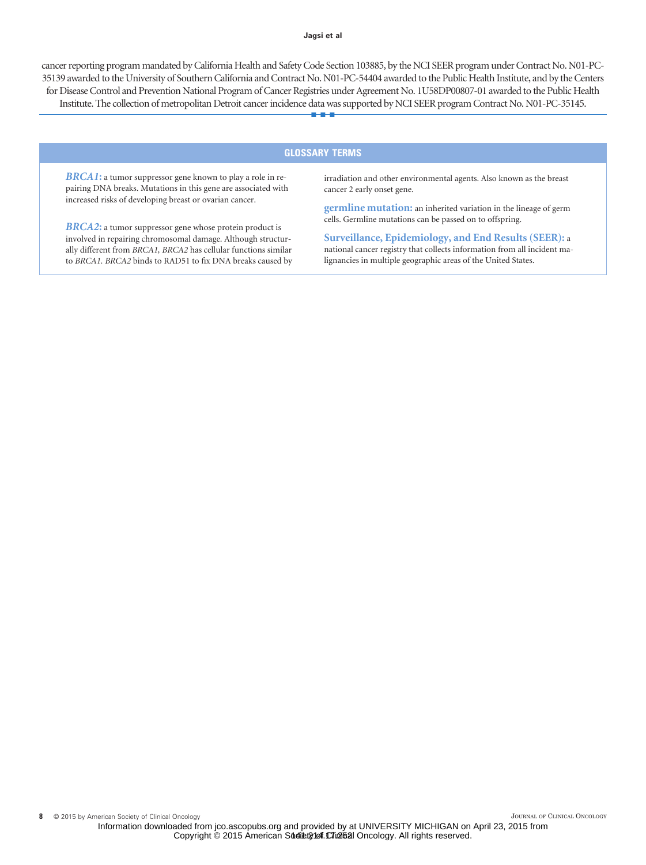cancer reporting program mandated by California Health and Safety Code Section 103885, by the NCI SEER program under Contract No. N01-PC-35139 awarded to the University of Southern California and Contract No. N01-PC-54404 awarded to the Public Health Institute, and by the Centers for Disease Control and Prevention National Program of Cancer Registries under Agreement No. 1U58DP00807-01 awarded to the Public Health Institute. The collection of metropolitan Detroit cancer incidence data was supported by NCI SEER program Contract No. N01-PC-35145.

■■■

### **GLOSSARY TERMS**

*BRCA1***:** a tumor suppressor gene known to play a role in repairing DNA breaks. Mutations in this gene are associated with increased risks of developing breast or ovarian cancer.

*BRCA2***:** a tumor suppressor gene whose protein product is involved in repairing chromosomal damage. Although structurally different from *BRCA1, BRCA2* has cellular functions similar to *BRCA1. BRCA2* binds to RAD51 to fix DNA breaks caused by

irradiation and other environmental agents. Also known as the breast cancer 2 early onset gene.

**germline mutation:** an inherited variation in the lineage of germ cells. Germline mutations can be passed on to offspring.

**Surveillance, Epidemiology, and End Results (SEER):** a national cancer registry that collects information from all incident malignancies in multiple geographic areas of the United States.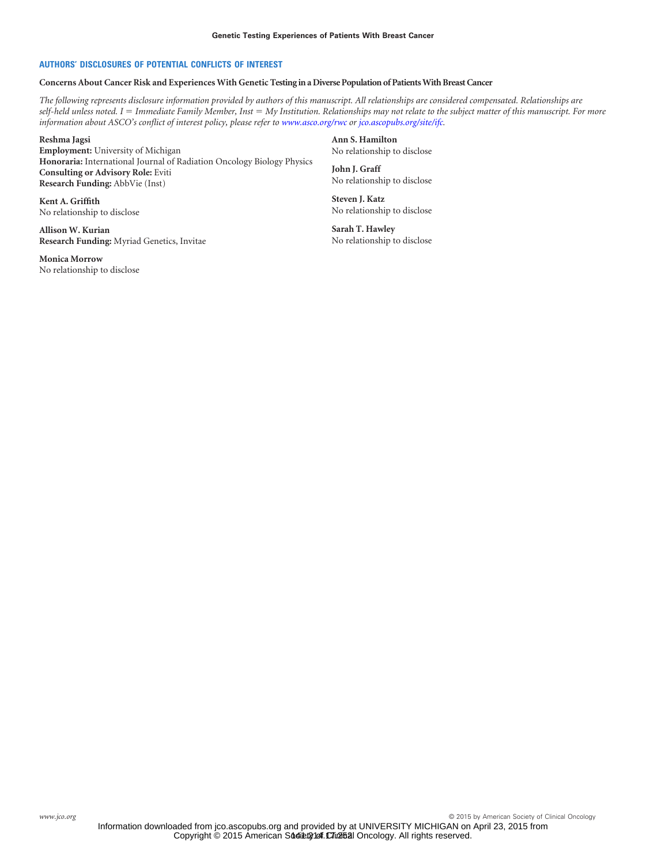### **AUTHORS' DISCLOSURES OF POTENTIAL CONFLICTS OF INTEREST**

### **Concerns About Cancer Risk and Experiences With Genetic Testingin a Diverse Population of PatientsWith Breast Cancer**

*The following represents disclosure information provided by authors of this manuscript. All relationships are considered compensated. Relationships are* self-held unless noted. I = Immediate Family Member, Inst = My Institution. Relationships may not relate to the subject matter of this manuscript. For more *information about ASCO's conflict of interest policy, please refer to [www.asco.org/rwc](http://www.asco.org/rwc) or [jco.ascopubs.org/site/ifc.](http://jco.ascopubs.org/site/ifc)*

**Reshma Jagsi Employment:** University of Michigan **Honoraria:** International Journal of Radiation Oncology Biology Physics **Consulting or Advisory Role:** Eviti **Research Funding:** AbbVie (Inst)

**Kent A. Griffith** No relationship to disclose

**Allison W. Kurian Research Funding:** Myriad Genetics, Invitae

**Monica Morrow** No relationship to disclose **Ann S. Hamilton** No relationship to disclose

**John J. Graff** No relationship to disclose

**Steven J. Katz** No relationship to disclose

**Sarah T. Hawley** No relationship to disclose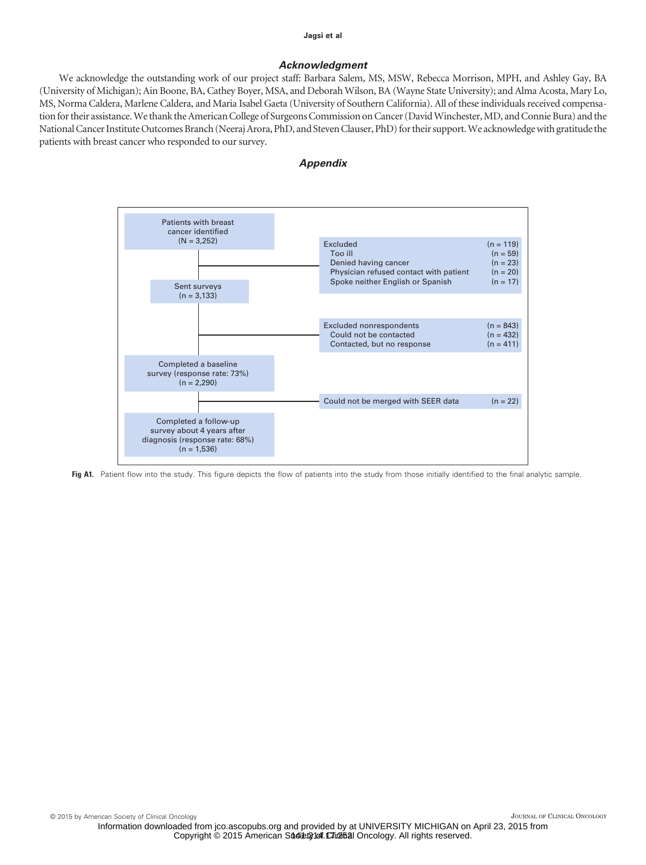### *Acknowledgment*

We acknowledge the outstanding work of our project staff: Barbara Salem, MS, MSW, Rebecca Morrison, MPH, and Ashley Gay, BA (University of Michigan); Ain Boone, BA, Cathey Boyer, MSA, and Deborah Wilson, BA (Wayne State University); and Alma Acosta, Mary Lo, MS, Norma Caldera, Marlene Caldera, and Maria Isabel Gaeta (University of Southern California). All of these individuals received compensation for their assistance. We thank the American College of Surgeons Commission on Cancer (David Winchester, MD, and Connie Bura) and the National Cancer Institute Outcomes Branch (Neeraj Arora, PhD, and Steven Clauser, PhD) for their support. We acknowledge with gratitude the patients with breast cancer who responded to our survey.

### *Appendix*



<span id="page-9-0"></span>Fig A1. Patient flow into the study. This figure depicts the flow of patients into the study from those initially identified to the final analytic sample.